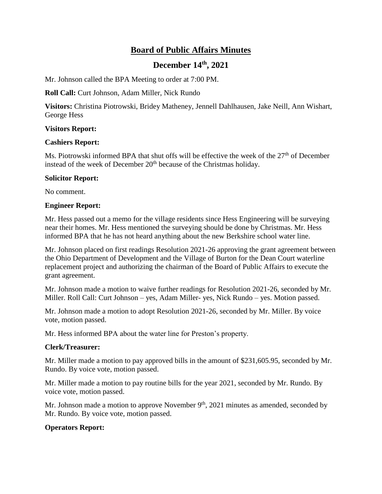# **Board of Public Affairs Minutes**

## **December 14th , 2021**

Mr. Johnson called the BPA Meeting to order at 7:00 PM.

**Roll Call:** Curt Johnson, Adam Miller, Nick Rundo

**Visitors:** Christina Piotrowski, Bridey Matheney, Jennell Dahlhausen, Jake Neill, Ann Wishart, George Hess

## **Visitors Report:**

#### **Cashiers Report:**

Ms. Piotrowski informed BPA that shut offs will be effective the week of the  $27<sup>th</sup>$  of December instead of the week of December 20<sup>th</sup> because of the Christmas holiday.

## **Solicitor Report:**

No comment.

## **Engineer Report:**

Mr. Hess passed out a memo for the village residents since Hess Engineering will be surveying near their homes. Mr. Hess mentioned the surveying should be done by Christmas. Mr. Hess informed BPA that he has not heard anything about the new Berkshire school water line.

Mr. Johnson placed on first readings Resolution 2021-26 approving the grant agreement between the Ohio Department of Development and the Village of Burton for the Dean Court waterline replacement project and authorizing the chairman of the Board of Public Affairs to execute the grant agreement.

Mr. Johnson made a motion to waive further readings for Resolution 2021-26, seconded by Mr. Miller. Roll Call: Curt Johnson – yes, Adam Miller- yes, Nick Rundo – yes. Motion passed.

Mr. Johnson made a motion to adopt Resolution 2021-26, seconded by Mr. Miller. By voice vote, motion passed.

Mr. Hess informed BPA about the water line for Preston's property.

## **Clerk/Treasurer:**

Mr. Miller made a motion to pay approved bills in the amount of \$231,605.95, seconded by Mr. Rundo. By voice vote, motion passed.

Mr. Miller made a motion to pay routine bills for the year 2021, seconded by Mr. Rundo. By voice vote, motion passed.

Mr. Johnson made a motion to approve November  $9<sup>th</sup>$ , 2021 minutes as amended, seconded by Mr. Rundo. By voice vote, motion passed.

## **Operators Report:**